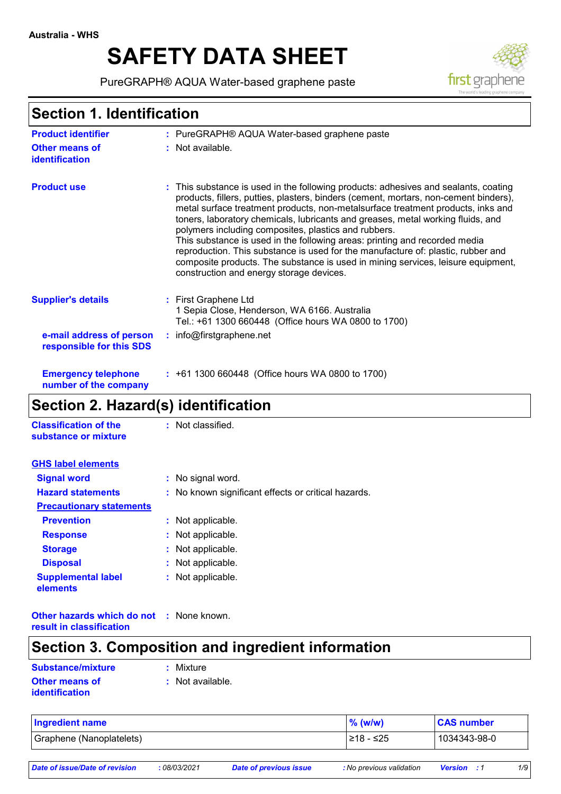# **SAFETY DATA SHEET**

PureGRAPH® AQUA Water-based graphene paste



# **Section 1. Identification**

| <b>Product identifier</b>                            | : PureGRAPH® AQUA Water-based graphene paste                                                                                                                                                                                                                                                                                                                                                                                                                                                                                                                                                                                                                                                                |
|------------------------------------------------------|-------------------------------------------------------------------------------------------------------------------------------------------------------------------------------------------------------------------------------------------------------------------------------------------------------------------------------------------------------------------------------------------------------------------------------------------------------------------------------------------------------------------------------------------------------------------------------------------------------------------------------------------------------------------------------------------------------------|
| <b>Other means of</b><br>identification              | : Not available.                                                                                                                                                                                                                                                                                                                                                                                                                                                                                                                                                                                                                                                                                            |
| <b>Product use</b>                                   | : This substance is used in the following products: adhesives and sealants, coating<br>products, fillers, putties, plasters, binders (cement, mortars, non-cement binders),<br>metal surface treatment products, non-metalsurface treatment products, inks and<br>toners, laboratory chemicals, lubricants and greases, metal working fluids, and<br>polymers including composites, plastics and rubbers.<br>This substance is used in the following areas: printing and recorded media<br>reproduction. This substance is used for the manufacture of: plastic, rubber and<br>composite products. The substance is used in mining services, leisure equipment,<br>construction and energy storage devices. |
| <b>Supplier's details</b>                            | : First Graphene Ltd<br>1 Sepia Close, Henderson, WA 6166. Australia<br>Tel.: +61 1300 660448 (Office hours WA 0800 to 1700)                                                                                                                                                                                                                                                                                                                                                                                                                                                                                                                                                                                |
| e-mail address of person<br>responsible for this SDS | $:$ info@firstgraphene.net                                                                                                                                                                                                                                                                                                                                                                                                                                                                                                                                                                                                                                                                                  |
| <b>Emergency telephone</b><br>number of the company  | : +61 1300 660448 (Office hours WA 0800 to 1700)                                                                                                                                                                                                                                                                                                                                                                                                                                                                                                                                                                                                                                                            |

# **Section 2. Hazard(s) identification**

| <b>Classification of the</b><br>substance or mixture | : Not classified.                                   |
|------------------------------------------------------|-----------------------------------------------------|
| <b>GHS label elements</b>                            |                                                     |
| <b>Signal word</b>                                   | : No signal word.                                   |
| <b>Hazard statements</b>                             | : No known significant effects or critical hazards. |
| <b>Precautionary statements</b>                      |                                                     |
| <b>Prevention</b>                                    | : Not applicable.                                   |
| <b>Response</b>                                      | : Not applicable.                                   |
| <b>Storage</b>                                       | : Not applicable.                                   |
| <b>Disposal</b>                                      | : Not applicable.                                   |
| <b>Supplemental label</b><br>elements                | : Not applicable.                                   |

**Other hazards which do not :** None known. **result in classification**

# **Section 3. Composition and ingredient information**

| Substance/mixture     | : Mixture        |
|-----------------------|------------------|
| <b>Other means of</b> | : Not available. |
| identification        |                  |

| Ingredient name          | $%$ (w/w)  | <b>CAS number</b> |
|--------------------------|------------|-------------------|
| Graphene (Nanoplatelets) | l≥18 - ≤25 | 1034343-98-0      |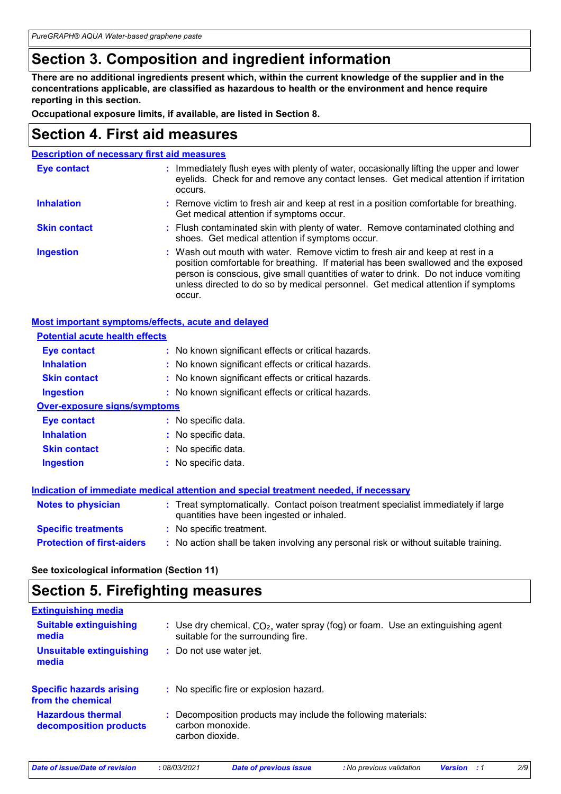# **Section 3. Composition and ingredient information**

**There are no additional ingredients present which, within the current knowledge of the supplier and in the concentrations applicable, are classified as hazardous to health or the environment and hence require reporting in this section.**

**Occupational exposure limits, if available, are listed in Section 8.**

### **Section 4. First aid measures**

| <b>Description of necessary first aid measures</b> |                                                                                                                                                                                                                                                                                                                                                           |  |
|----------------------------------------------------|-----------------------------------------------------------------------------------------------------------------------------------------------------------------------------------------------------------------------------------------------------------------------------------------------------------------------------------------------------------|--|
| <b>Eye contact</b>                                 | : Immediately flush eyes with plenty of water, occasionally lifting the upper and lower<br>eyelids. Check for and remove any contact lenses. Get medical attention if irritation<br>occurs.                                                                                                                                                               |  |
| <b>Inhalation</b>                                  | : Remove victim to fresh air and keep at rest in a position comfortable for breathing.<br>Get medical attention if symptoms occur.                                                                                                                                                                                                                        |  |
| <b>Skin contact</b>                                | : Flush contaminated skin with plenty of water. Remove contaminated clothing and<br>shoes. Get medical attention if symptoms occur.                                                                                                                                                                                                                       |  |
| <b>Ingestion</b>                                   | : Wash out mouth with water. Remove victim to fresh air and keep at rest in a<br>position comfortable for breathing. If material has been swallowed and the exposed<br>person is conscious, give small quantities of water to drink. Do not induce vomiting<br>unless directed to do so by medical personnel. Get medical attention if symptoms<br>occur. |  |

| <b>Most important symptoms/effects, acute and delayed</b> |                                                                                                                                |
|-----------------------------------------------------------|--------------------------------------------------------------------------------------------------------------------------------|
| <b>Potential acute health effects</b>                     |                                                                                                                                |
| Eye contact                                               | : No known significant effects or critical hazards.                                                                            |
| <b>Inhalation</b>                                         | : No known significant effects or critical hazards.                                                                            |
| <b>Skin contact</b>                                       | : No known significant effects or critical hazards.                                                                            |
| <b>Ingestion</b>                                          | : No known significant effects or critical hazards.                                                                            |
| <b>Over-exposure signs/symptoms</b>                       |                                                                                                                                |
| Eye contact                                               | : No specific data.                                                                                                            |
| <b>Inhalation</b>                                         | : No specific data.                                                                                                            |
| <b>Skin contact</b>                                       | : No specific data.                                                                                                            |
| <b>Ingestion</b>                                          | : No specific data.                                                                                                            |
|                                                           | Indication of immediate medical attention and special treatment needed, if necessary                                           |
| <b>Notes to physician</b>                                 | : Treat symptomatically. Contact poison treatment specialist immediately if large<br>quantities have been ingested or inhaled. |
| <b>Specific treatments</b>                                | : No specific treatment.                                                                                                       |
| <b>Protection of first-aiders</b>                         | : No action shall be taken involving any personal risk or without suitable training.                                           |

**See toxicological information (Section 11)**

### **Section 5. Firefighting measures**

| <b>Extinguishing media</b>                           |                                                                                                                         |
|------------------------------------------------------|-------------------------------------------------------------------------------------------------------------------------|
| <b>Suitable extinguishing</b><br>media               | : Use dry chemical, $CO2$ , water spray (fog) or foam. Use an extinguishing agent<br>suitable for the surrounding fire. |
| <b>Unsuitable extinguishing</b><br>media             | : Do not use water jet.                                                                                                 |
| <b>Specific hazards arising</b><br>from the chemical | : No specific fire or explosion hazard.                                                                                 |
| <b>Hazardous thermal</b><br>decomposition products   | : Decomposition products may include the following materials:<br>carbon monoxide.<br>carbon dioxide.                    |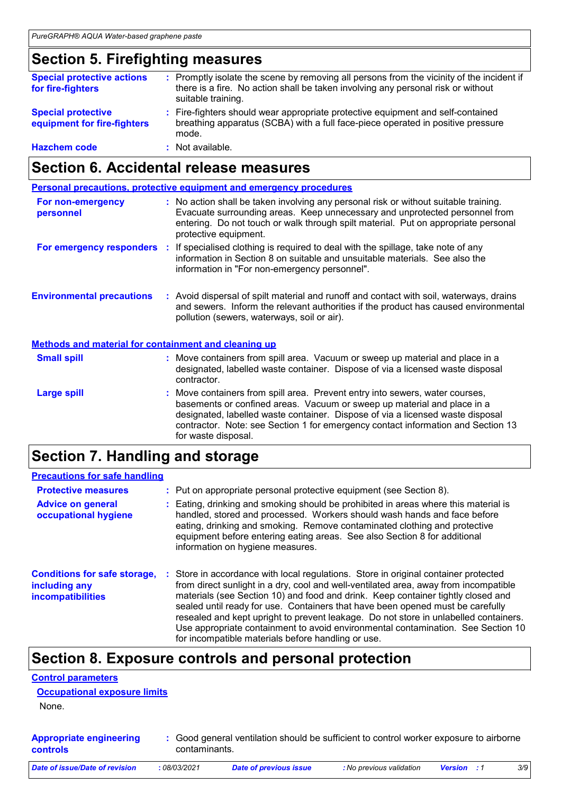# **Section 5. Firefighting measures**

| <b>Special protective actions</b><br>for fire-fighters   | : Promptly isolate the scene by removing all persons from the vicinity of the incident if<br>there is a fire. No action shall be taken involving any personal risk or without<br>suitable training. |
|----------------------------------------------------------|-----------------------------------------------------------------------------------------------------------------------------------------------------------------------------------------------------|
| <b>Special protective</b><br>equipment for fire-fighters | : Fire-fighters should wear appropriate protective equipment and self-contained<br>breathing apparatus (SCBA) with a full face-piece operated in positive pressure<br>mode.                         |
| <b>Hazchem code</b>                                      | : Not available.                                                                                                                                                                                    |

# **Section 6. Accidental release measures**

|                                                             | <b>Personal precautions, protective equipment and emergency procedures</b>                                                                                                                                                                                                         |
|-------------------------------------------------------------|------------------------------------------------------------------------------------------------------------------------------------------------------------------------------------------------------------------------------------------------------------------------------------|
| For non-emergency<br>personnel                              | : No action shall be taken involving any personal risk or without suitable training.<br>Evacuate surrounding areas. Keep unnecessary and unprotected personnel from<br>entering. Do not touch or walk through spilt material. Put on appropriate personal<br>protective equipment. |
|                                                             | For emergency responders : If specialised clothing is required to deal with the spillage, take note of any<br>information in Section 8 on suitable and unsuitable materials. See also the<br>information in "For non-emergency personnel".                                         |
| <b>Environmental precautions</b>                            | : Avoid dispersal of spilt material and runoff and contact with soil, waterways, drains<br>and sewers. Inform the relevant authorities if the product has caused environmental<br>pollution (sewers, waterways, soil or air).                                                      |
| <b>Methods and material for containment and cleaning up</b> |                                                                                                                                                                                                                                                                                    |
| <b>Small spill</b>                                          | : Move containers from spill area. Vacuum or sweep up material and place in a<br>designated, labelled waste container. Dispose of via a licensed waste disposal<br>contractor.                                                                                                     |
| <b>Large spill</b>                                          | : Move containers from spill area. Prevent entry into sewers, water courses,<br>hasements or confined areas. Vacuum or sweep up material and place in a                                                                                                                            |

basements or confined areas. Vacuum or sweep up material and place in a designated, labelled waste container. Dispose of via a licensed waste disposal contractor. Note: see Section 1 for emergency contact information and Section 13 for waste disposal.

# **Section 7. Handling and storage**

| <b>Precautions for safe handling</b>                                             |                                                                                                                                                                                                                                                                                                                                                                                                                                                                                                                                                                                     |
|----------------------------------------------------------------------------------|-------------------------------------------------------------------------------------------------------------------------------------------------------------------------------------------------------------------------------------------------------------------------------------------------------------------------------------------------------------------------------------------------------------------------------------------------------------------------------------------------------------------------------------------------------------------------------------|
| <b>Protective measures</b>                                                       | : Put on appropriate personal protective equipment (see Section 8).                                                                                                                                                                                                                                                                                                                                                                                                                                                                                                                 |
| <b>Advice on general</b><br>occupational hygiene                                 | : Eating, drinking and smoking should be prohibited in areas where this material is<br>handled, stored and processed. Workers should wash hands and face before<br>eating, drinking and smoking. Remove contaminated clothing and protective<br>equipment before entering eating areas. See also Section 8 for additional<br>information on hygiene measures.                                                                                                                                                                                                                       |
| <b>Conditions for safe storage,</b><br>including any<br><b>incompatibilities</b> | : Store in accordance with local regulations. Store in original container protected<br>from direct sunlight in a dry, cool and well-ventilated area, away from incompatible<br>materials (see Section 10) and food and drink. Keep container tightly closed and<br>sealed until ready for use. Containers that have been opened must be carefully<br>resealed and kept upright to prevent leakage. Do not store in unlabelled containers.<br>Use appropriate containment to avoid environmental contamination. See Section 10<br>for incompatible materials before handling or use. |

# **Section 8. Exposure controls and personal protection**

#### **Control parameters**

None.

| <b>Appropriate engineering</b> | : Good general ventilation should be sufficient to control worker exposure to airborne |
|--------------------------------|----------------------------------------------------------------------------------------|
| <b>controls</b>                | contaminants.                                                                          |

| 08/03/2021<br>Date of issue/Date of revision<br><b>Date of previous issue</b><br>: No previous validation<br><b>Version</b> : 1 | 3/9 |
|---------------------------------------------------------------------------------------------------------------------------------|-----|
|---------------------------------------------------------------------------------------------------------------------------------|-----|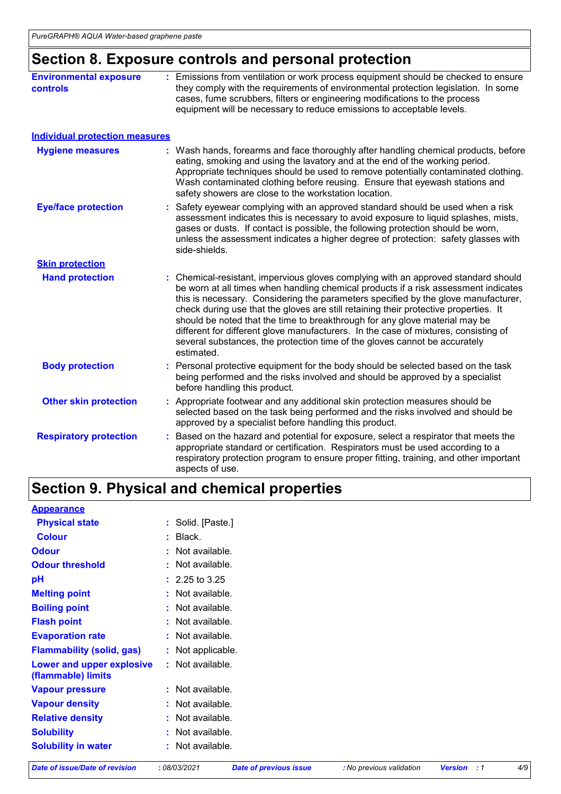# **Section 8. Exposure controls and personal protection**

| <b>Environmental exposure</b><br>controls | : Emissions from ventilation or work process equipment should be checked to ensure<br>they comply with the requirements of environmental protection legislation. In some<br>cases, fume scrubbers, filters or engineering modifications to the process<br>equipment will be necessary to reduce emissions to acceptable levels.                                                                                                                                                                                                                                                                                           |
|-------------------------------------------|---------------------------------------------------------------------------------------------------------------------------------------------------------------------------------------------------------------------------------------------------------------------------------------------------------------------------------------------------------------------------------------------------------------------------------------------------------------------------------------------------------------------------------------------------------------------------------------------------------------------------|
| <b>Individual protection measures</b>     |                                                                                                                                                                                                                                                                                                                                                                                                                                                                                                                                                                                                                           |
| <b>Hygiene measures</b>                   | : Wash hands, forearms and face thoroughly after handling chemical products, before<br>eating, smoking and using the lavatory and at the end of the working period.<br>Appropriate techniques should be used to remove potentially contaminated clothing.<br>Wash contaminated clothing before reusing. Ensure that eyewash stations and<br>safety showers are close to the workstation location.                                                                                                                                                                                                                         |
| <b>Eye/face protection</b>                | Safety eyewear complying with an approved standard should be used when a risk<br>assessment indicates this is necessary to avoid exposure to liquid splashes, mists,<br>gases or dusts. If contact is possible, the following protection should be worn,<br>unless the assessment indicates a higher degree of protection: safety glasses with<br>side-shields.                                                                                                                                                                                                                                                           |
| <b>Skin protection</b>                    |                                                                                                                                                                                                                                                                                                                                                                                                                                                                                                                                                                                                                           |
| <b>Hand protection</b>                    | : Chemical-resistant, impervious gloves complying with an approved standard should<br>be worn at all times when handling chemical products if a risk assessment indicates<br>this is necessary. Considering the parameters specified by the glove manufacturer,<br>check during use that the gloves are still retaining their protective properties. It<br>should be noted that the time to breakthrough for any glove material may be<br>different for different glove manufacturers. In the case of mixtures, consisting of<br>several substances, the protection time of the gloves cannot be accurately<br>estimated. |
| <b>Body protection</b>                    | : Personal protective equipment for the body should be selected based on the task<br>being performed and the risks involved and should be approved by a specialist<br>before handling this product.                                                                                                                                                                                                                                                                                                                                                                                                                       |
| <b>Other skin protection</b>              | : Appropriate footwear and any additional skin protection measures should be<br>selected based on the task being performed and the risks involved and should be<br>approved by a specialist before handling this product.                                                                                                                                                                                                                                                                                                                                                                                                 |
| <b>Respiratory protection</b>             | Based on the hazard and potential for exposure, select a respirator that meets the<br>appropriate standard or certification. Respirators must be used according to a<br>respiratory protection program to ensure proper fitting, training, and other important<br>aspects of use.                                                                                                                                                                                                                                                                                                                                         |

# **Section 9. Physical and chemical properties**

| <b>Appearance</b>                               |                    |
|-------------------------------------------------|--------------------|
| <b>Physical state</b>                           | : Solid. [Paste.]  |
| <b>Colour</b>                                   | $:$ Black.         |
| <b>Odour</b>                                    | : Not available.   |
| <b>Odour threshold</b>                          | : Not available.   |
| pH                                              | $: 2.25$ to 3.25   |
| <b>Melting point</b>                            | : Not available.   |
| <b>Boiling point</b>                            | $:$ Not available. |
| <b>Flash point</b>                              | : Not available.   |
| <b>Evaporation rate</b>                         | : Not available.   |
| <b>Flammability (solid, gas)</b>                | : Not applicable.  |
| Lower and upper explosive<br>(flammable) limits | : Not available.   |
| <b>Vapour pressure</b>                          | : Not available.   |
| <b>Vapour density</b>                           | : Not available.   |
| <b>Relative density</b>                         | : Not available.   |
| <b>Solubility</b>                               | $:$ Not available. |
| <b>Solubility in water</b>                      | $:$ Not available. |

*Date of issue/Date of revision* **:** *08/03/2021 Date of previous issue : No previous validation Version : 1 4/9*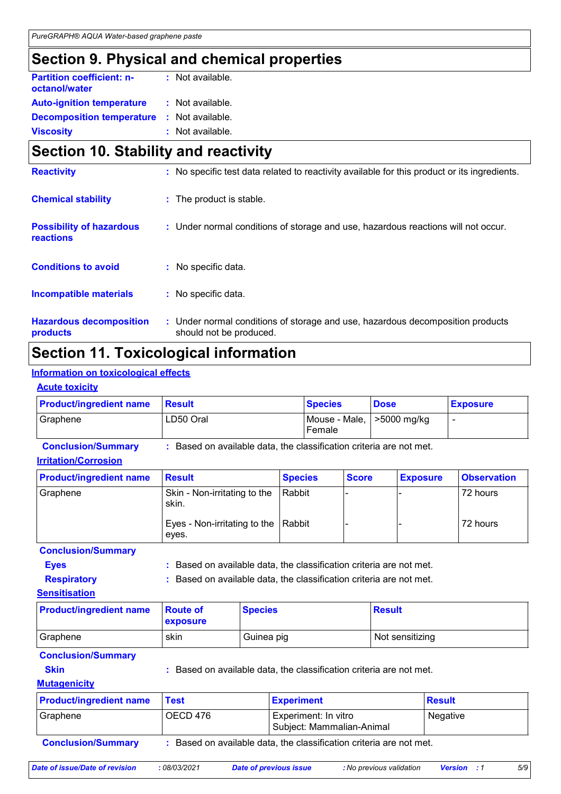# **Section 9. Physical and chemical properties**

| <b>Partition coefficient: n-</b><br>octanol/water | : Not available. |
|---------------------------------------------------|------------------|
| <b>Auto-ignition temperature</b>                  | : Not available. |
| <b>Decomposition temperature</b>                  | : Not available. |
| <b>Viscosity</b>                                  | : Not available. |

### **Section 10. Stability and reactivity**

| <b>Reactivity</b>                            | : No specific test data related to reactivity available for this product or its ingredients.              |
|----------------------------------------------|-----------------------------------------------------------------------------------------------------------|
| <b>Chemical stability</b>                    | : The product is stable.                                                                                  |
| <b>Possibility of hazardous</b><br>reactions | : Under normal conditions of storage and use, hazardous reactions will not occur.                         |
| <b>Conditions to avoid</b>                   | : No specific data.                                                                                       |
| <b>Incompatible materials</b>                | : No specific data.                                                                                       |
| <b>Hazardous decomposition</b><br>products   | : Under normal conditions of storage and use, hazardous decomposition products<br>should not be produced. |

# **Section 11. Toxicological information**

#### **Information on toxicological effects**

|  |  | <b>Acute toxicity</b> |  |
|--|--|-----------------------|--|
|--|--|-----------------------|--|

| <b>Product/ingredient name</b> | <b>Besult</b> | <b>Species</b>                        | <b>Dose</b> | <b>Exposure</b> |
|--------------------------------|---------------|---------------------------------------|-------------|-----------------|
| Graphene                       | LD50 Oral     | Mouse - Male,   >5000 mg/kg<br>Female |             |                 |

**Conclusion/Summary :** Based on available data, the classification criteria are not met.

#### **Irritation/Corrosion**

| <b>Product/ingredient name</b> | <b>Result</b>                                | <b>Species</b> | <b>Score</b> | <b>Exposure</b> | <b>Observation</b> |
|--------------------------------|----------------------------------------------|----------------|--------------|-----------------|--------------------|
| l Graphene                     | Skin - Non-irritating to the<br>skin.        | Rabbit         |              |                 | 72 hours           |
|                                | Eyes - Non-irritating to the Rabbit<br>eves. |                |              |                 | 72 hours           |

#### **Conclusion/Summary**

**Eyes Exercise 2 EXECUTE:** Based on available data, the classification criteria are not met.

**Respiratory :** Based on available data, the classification criteria are not met.

**Sensitisation**

| <b>Product/ingredient name</b> Route of | <b>Exposure</b> | <b>Species</b> | <b>Result</b>   |
|-----------------------------------------|-----------------|----------------|-----------------|
| Graphene                                | skin            | Guinea pig     | Not sensitizing |

#### **Conclusion/Summary**

**Skin Example 2018 :** Based on available data, the classification criteria are not met.

#### **Mutagenicity**

| <b>Product/ingredient name</b>                                                                 | <b>Test</b> | <b>Experiment</b>                                 | <b>Result</b>   |
|------------------------------------------------------------------------------------------------|-------------|---------------------------------------------------|-----------------|
| I Graphene                                                                                     | OECD 476    | Experiment: In vitro<br>Subject: Mammalian-Animal | <b>Negative</b> |
| Based on available data, the classification criteria are not met.<br><b>Conclusion/Summary</b> |             |                                                   |                 |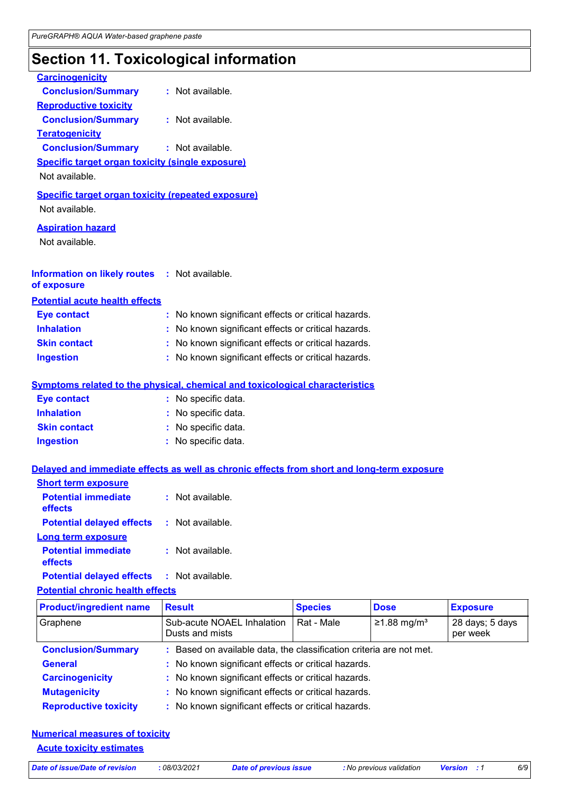# **Section 11. Toxicological information**

| <b>Carcinogenicity</b>                                                    |                                                                                            |                |                           |                             |
|---------------------------------------------------------------------------|--------------------------------------------------------------------------------------------|----------------|---------------------------|-----------------------------|
| <b>Conclusion/Summary</b>                                                 | : Not available.                                                                           |                |                           |                             |
| <b>Reproductive toxicity</b>                                              |                                                                                            |                |                           |                             |
| <b>Conclusion/Summary</b>                                                 | : Not available.                                                                           |                |                           |                             |
| <b>Teratogenicity</b>                                                     |                                                                                            |                |                           |                             |
| <b>Conclusion/Summary</b>                                                 | : Not available.                                                                           |                |                           |                             |
| <b>Specific target organ toxicity (single exposure)</b><br>Not available. |                                                                                            |                |                           |                             |
| <b>Specific target organ toxicity (repeated exposure)</b>                 |                                                                                            |                |                           |                             |
| Not available.                                                            |                                                                                            |                |                           |                             |
| <b>Aspiration hazard</b>                                                  |                                                                                            |                |                           |                             |
| Not available.                                                            |                                                                                            |                |                           |                             |
|                                                                           |                                                                                            |                |                           |                             |
| <b>Information on likely routes : Not available.</b><br>of exposure       |                                                                                            |                |                           |                             |
| <b>Potential acute health effects</b>                                     |                                                                                            |                |                           |                             |
| <b>Eye contact</b>                                                        | : No known significant effects or critical hazards.                                        |                |                           |                             |
| <b>Inhalation</b>                                                         | No known significant effects or critical hazards.                                          |                |                           |                             |
| <b>Skin contact</b>                                                       | : No known significant effects or critical hazards.                                        |                |                           |                             |
| <b>Ingestion</b>                                                          | : No known significant effects or critical hazards.                                        |                |                           |                             |
|                                                                           |                                                                                            |                |                           |                             |
|                                                                           | <b>Symptoms related to the physical, chemical and toxicological characteristics</b>        |                |                           |                             |
| <b>Eye contact</b>                                                        | : No specific data.                                                                        |                |                           |                             |
| <b>Inhalation</b>                                                         | : No specific data.                                                                        |                |                           |                             |
| <b>Skin contact</b>                                                       | : No specific data.                                                                        |                |                           |                             |
| <b>Ingestion</b>                                                          | : No specific data.                                                                        |                |                           |                             |
|                                                                           | Delayed and immediate effects as well as chronic effects from short and long-term exposure |                |                           |                             |
| <b>Short term exposure</b>                                                |                                                                                            |                |                           |                             |
| <b>Potential immediate</b><br>effects                                     | Not available.                                                                             |                |                           |                             |
| <b>Potential delayed effects</b>                                          | : Not available.                                                                           |                |                           |                             |
| Long term exposure                                                        |                                                                                            |                |                           |                             |
| <b>Potential immediate</b><br>effects                                     | : Not available.                                                                           |                |                           |                             |
| <b>Potential delayed effects</b>                                          | Not available.                                                                             |                |                           |                             |
| <b>Potential chronic health effects</b>                                   |                                                                                            |                |                           |                             |
| <b>Product/ingredient name</b>                                            | <b>Result</b>                                                                              | <b>Species</b> | <b>Dose</b>               | <b>Exposure</b>             |
| Graphene                                                                  | Sub-acute NOAEL Inhalation<br>Dusts and mists                                              | Rat - Male     | $≥1.88$ mg/m <sup>3</sup> | 28 days; 5 days<br>per week |
| <b>Conclusion/Summary</b>                                                 | Based on available data, the classification criteria are not met.                          |                |                           |                             |
| <b>General</b>                                                            | No known significant effects or critical hazards.                                          |                |                           |                             |
| <b>Carcinogenicity</b>                                                    | No known significant effects or critical hazards.                                          |                |                           |                             |
| <b>Mutagenicity</b>                                                       | No known significant effects or critical hazards.                                          |                |                           |                             |
|                                                                           |                                                                                            |                |                           |                             |

**Reproductive toxicity :** No known significant effects or critical hazards.

#### **Numerical measures of toxicity**

**Acute toxicity estimates**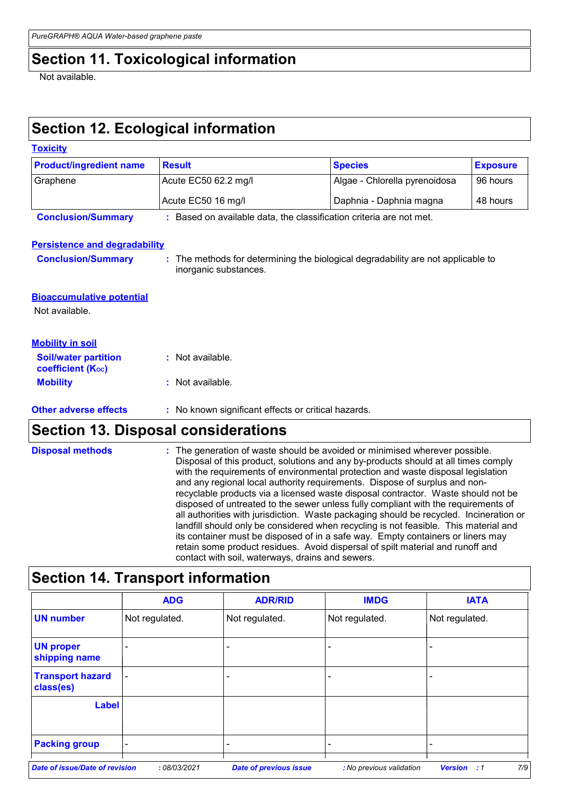# **Section 11. Toxicological information**

Not available.

# **Section 12. Ecological information**

| <b>Toxicity</b>                                    |                                                                   |                                                                                                                                                                                                                                                                                                                                                                                                                                                                                                                                                                                                                                                                                                                                                                                                                                                                     |                 |  |
|----------------------------------------------------|-------------------------------------------------------------------|---------------------------------------------------------------------------------------------------------------------------------------------------------------------------------------------------------------------------------------------------------------------------------------------------------------------------------------------------------------------------------------------------------------------------------------------------------------------------------------------------------------------------------------------------------------------------------------------------------------------------------------------------------------------------------------------------------------------------------------------------------------------------------------------------------------------------------------------------------------------|-----------------|--|
| <b>Product/ingredient name</b>                     | <b>Result</b>                                                     | <b>Species</b>                                                                                                                                                                                                                                                                                                                                                                                                                                                                                                                                                                                                                                                                                                                                                                                                                                                      | <b>Exposure</b> |  |
| Graphene                                           | Acute EC50 62.2 mg/l                                              | Algae - Chlorella pyrenoidosa                                                                                                                                                                                                                                                                                                                                                                                                                                                                                                                                                                                                                                                                                                                                                                                                                                       | 96 hours        |  |
|                                                    | Acute EC50 16 mg/l                                                | Daphnia - Daphnia magna                                                                                                                                                                                                                                                                                                                                                                                                                                                                                                                                                                                                                                                                                                                                                                                                                                             | 48 hours        |  |
| <b>Conclusion/Summary</b>                          | Based on available data, the classification criteria are not met. |                                                                                                                                                                                                                                                                                                                                                                                                                                                                                                                                                                                                                                                                                                                                                                                                                                                                     |                 |  |
| <b>Persistence and degradability</b>               |                                                                   |                                                                                                                                                                                                                                                                                                                                                                                                                                                                                                                                                                                                                                                                                                                                                                                                                                                                     |                 |  |
| <b>Conclusion/Summary</b>                          | inorganic substances.                                             | : The methods for determining the biological degradability are not applicable to                                                                                                                                                                                                                                                                                                                                                                                                                                                                                                                                                                                                                                                                                                                                                                                    |                 |  |
| <b>Bioaccumulative potential</b><br>Not available. |                                                                   |                                                                                                                                                                                                                                                                                                                                                                                                                                                                                                                                                                                                                                                                                                                                                                                                                                                                     |                 |  |
| <b>Mobility in soil</b>                            |                                                                   |                                                                                                                                                                                                                                                                                                                                                                                                                                                                                                                                                                                                                                                                                                                                                                                                                                                                     |                 |  |
| <b>Soil/water partition</b><br>coefficient (Koc)   | Not available.                                                    |                                                                                                                                                                                                                                                                                                                                                                                                                                                                                                                                                                                                                                                                                                                                                                                                                                                                     |                 |  |
| <b>Mobility</b>                                    | Not available.                                                    |                                                                                                                                                                                                                                                                                                                                                                                                                                                                                                                                                                                                                                                                                                                                                                                                                                                                     |                 |  |
| <b>Other adverse effects</b>                       | : No known significant effects or critical hazards.               |                                                                                                                                                                                                                                                                                                                                                                                                                                                                                                                                                                                                                                                                                                                                                                                                                                                                     |                 |  |
|                                                    | <b>Section 13. Disposal considerations</b>                        |                                                                                                                                                                                                                                                                                                                                                                                                                                                                                                                                                                                                                                                                                                                                                                                                                                                                     |                 |  |
| <b>Disposal methods</b>                            | contact with soil, waterways, drains and sewers.                  | The generation of waste should be avoided or minimised wherever possible.<br>Disposal of this product, solutions and any by-products should at all times comply<br>with the requirements of environmental protection and waste disposal legislation<br>and any regional local authority requirements. Dispose of surplus and non-<br>recyclable products via a licensed waste disposal contractor. Waste should not be<br>disposed of untreated to the sewer unless fully compliant with the requirements of<br>all authorities with jurisdiction. Waste packaging should be recycled. Incineration or<br>landfill should only be considered when recycling is not feasible. This material and<br>its container must be disposed of in a safe way. Empty containers or liners may<br>retain some product residues. Avoid dispersal of spilt material and runoff and |                 |  |
| <b>Section 14. Transport information</b>           |                                                                   |                                                                                                                                                                                                                                                                                                                                                                                                                                                                                                                                                                                                                                                                                                                                                                                                                                                                     |                 |  |
|                                                    |                                                                   |                                                                                                                                                                                                                                                                                                                                                                                                                                                                                                                                                                                                                                                                                                                                                                                                                                                                     |                 |  |

|                                       | <b>ADG</b>               | <b>ADR/RID</b>                | <b>IMDG</b>              | <b>IATA</b>               |
|---------------------------------------|--------------------------|-------------------------------|--------------------------|---------------------------|
| <b>UN number</b>                      | Not regulated.           | Not regulated.                | Not regulated.           | Not regulated.            |
| <b>UN proper</b><br>shipping name     |                          |                               |                          |                           |
| <b>Transport hazard</b><br>class(es)  | $\overline{\phantom{a}}$ |                               |                          |                           |
| <b>Label</b>                          |                          |                               |                          |                           |
| <b>Packing group</b>                  | ۰                        |                               |                          |                           |
| <b>Date of issue/Date of revision</b> | :08/03/2021              | <b>Date of previous issue</b> | : No previous validation | 7/9<br><b>Version</b> : 1 |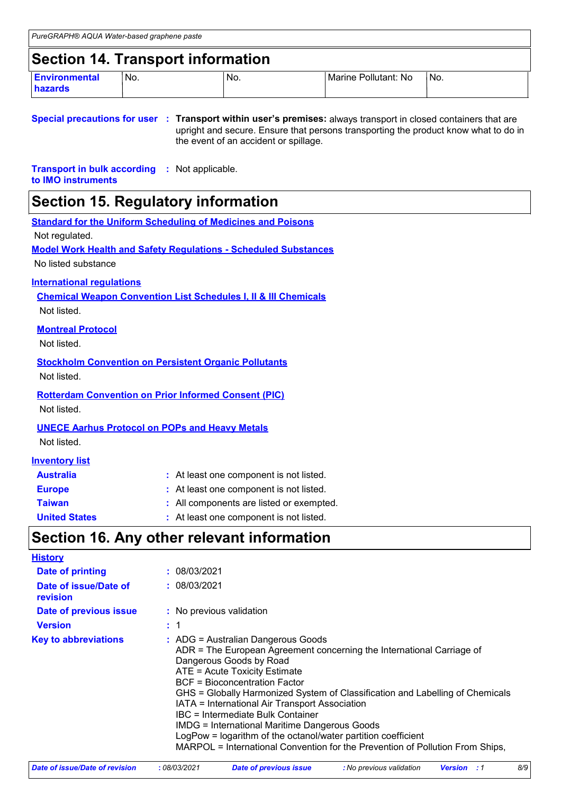### **Section 14. Transport information**

| <b>Environmental</b><br><b>hazards</b> | $\mathsf{No}$ . | No. | Pollutant: No<br>Marine | No. |
|----------------------------------------|-----------------|-----|-------------------------|-----|

#### **Special precautions for user Transport within user's premises:** always transport in closed containers that are **:** upright and secure. Ensure that persons transporting the product know what to do in the event of an accident or spillage.

**Transport in bulk according :** Not applicable. **to IMO instruments**

### **Section 15. Regulatory information**

|                                                              | <b>Standard for the Uniform Scheduling of Medicines and Poisons</b>        |
|--------------------------------------------------------------|----------------------------------------------------------------------------|
| Not regulated.                                               |                                                                            |
|                                                              | <b>Model Work Health and Safety Regulations - Scheduled Substances</b>     |
| No listed substance                                          |                                                                            |
| <b>International regulations</b>                             |                                                                            |
|                                                              | <b>Chemical Weapon Convention List Schedules I, II &amp; III Chemicals</b> |
| Not listed.                                                  |                                                                            |
| <b>Montreal Protocol</b>                                     |                                                                            |
| Not listed.                                                  |                                                                            |
| <b>Stockholm Convention on Persistent Organic Pollutants</b> |                                                                            |
| Not listed.                                                  |                                                                            |
| <b>Rotterdam Convention on Prior Informed Consent (PIC)</b>  |                                                                            |
| Not listed.                                                  |                                                                            |
| <b>UNECE Aarhus Protocol on POPs and Heavy Metals</b>        |                                                                            |
| Not listed.                                                  |                                                                            |
|                                                              |                                                                            |
| <b>Inventory list</b>                                        |                                                                            |
| <b>Australia</b>                                             | : At least one component is not listed.                                    |
| <b>Europe</b>                                                | : At least one component is not listed.                                    |
| <b>Taiwan</b>                                                | : All components are listed or exempted.                                   |

#### **United States :** At least one component is not listed.

### **Section 16. Any other relevant information**

| <b>History</b>                    |                                                                                                                                                                                                                                                                                                                                                                                                                                                                                                                                                                                                   |
|-----------------------------------|---------------------------------------------------------------------------------------------------------------------------------------------------------------------------------------------------------------------------------------------------------------------------------------------------------------------------------------------------------------------------------------------------------------------------------------------------------------------------------------------------------------------------------------------------------------------------------------------------|
| Date of printing                  | : 08/03/2021                                                                                                                                                                                                                                                                                                                                                                                                                                                                                                                                                                                      |
| Date of issue/Date of<br>revision | : 08/03/2021                                                                                                                                                                                                                                                                                                                                                                                                                                                                                                                                                                                      |
| Date of previous issue            | : No previous validation                                                                                                                                                                                                                                                                                                                                                                                                                                                                                                                                                                          |
| <b>Version</b>                    | : 1                                                                                                                                                                                                                                                                                                                                                                                                                                                                                                                                                                                               |
| <b>Key to abbreviations</b>       | : ADG = Australian Dangerous Goods<br>ADR = The European Agreement concerning the International Carriage of<br>Dangerous Goods by Road<br>ATE = Acute Toxicity Estimate<br><b>BCF</b> = Bioconcentration Factor<br>GHS = Globally Harmonized System of Classification and Labelling of Chemicals<br>IATA = International Air Transport Association<br>IBC = Intermediate Bulk Container<br><b>IMDG = International Maritime Dangerous Goods</b><br>LogPow = logarithm of the octanol/water partition coefficient<br>MARPOL = International Convention for the Prevention of Pollution From Ships, |